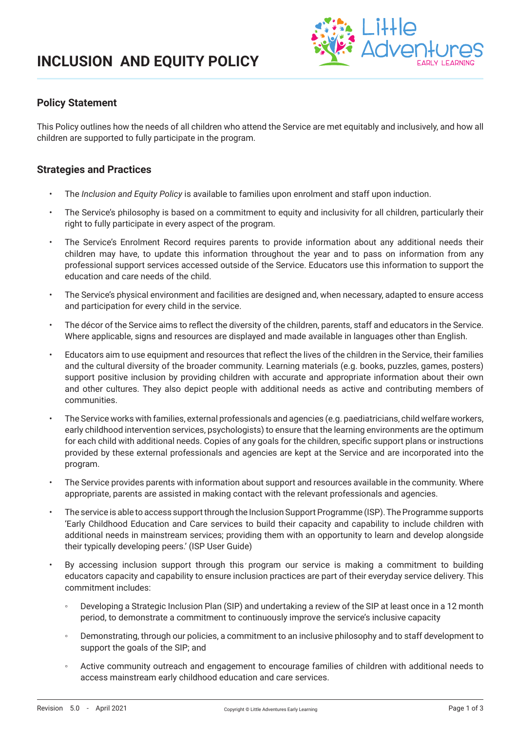

### **Policy Statement**

This Policy outlines how the needs of all children who attend the Service are met equitably and inclusively, and how all children are supported to fully participate in the program.

### **Strategies and Practices**

- The *Inclusion and Equity Policy* is available to families upon enrolment and staff upon induction.
- The Service's philosophy is based on a commitment to equity and inclusivity for all children, particularly their right to fully participate in every aspect of the program.
- The Service's Enrolment Record requires parents to provide information about any additional needs their children may have, to update this information throughout the year and to pass on information from any professional support services accessed outside of the Service. Educators use this information to support the education and care needs of the child.
- The Service's physical environment and facilities are designed and, when necessary, adapted to ensure access and participation for every child in the service.
- The décor of the Service aims to reflect the diversity of the children, parents, staff and educators in the Service. Where applicable, signs and resources are displayed and made available in languages other than English.
- Educators aim to use equipment and resources that reflect the lives of the children in the Service, their families and the cultural diversity of the broader community. Learning materials (e.g. books, puzzles, games, posters) support positive inclusion by providing children with accurate and appropriate information about their own and other cultures. They also depict people with additional needs as active and contributing members of communities.
- The Service works with families, external professionals and agencies (e.g. paediatricians, child welfare workers, early childhood intervention services, psychologists) to ensure that the learning environments are the optimum for each child with additional needs. Copies of any goals for the children, specific support plans or instructions provided by these external professionals and agencies are kept at the Service and are incorporated into the program.
- The Service provides parents with information about support and resources available in the community. Where appropriate, parents are assisted in making contact with the relevant professionals and agencies.
- The service is able to access support through the Inclusion Support Programme (ISP). The Programme supports 'Early Childhood Education and Care services to build their capacity and capability to include children with additional needs in mainstream services; providing them with an opportunity to learn and develop alongside their typically developing peers.' (ISP User Guide)
- By accessing inclusion support through this program our service is making a commitment to building educators capacity and capability to ensure inclusion practices are part of their everyday service delivery. This commitment includes:
	- Developing a Strategic Inclusion Plan (SIP) and undertaking a review of the SIP at least once in a 12 month period, to demonstrate a commitment to continuously improve the service's inclusive capacity
	- Demonstrating, through our policies, a commitment to an inclusive philosophy and to staff development to support the goals of the SIP; and
	- Active community outreach and engagement to encourage families of children with additional needs to access mainstream early childhood education and care services.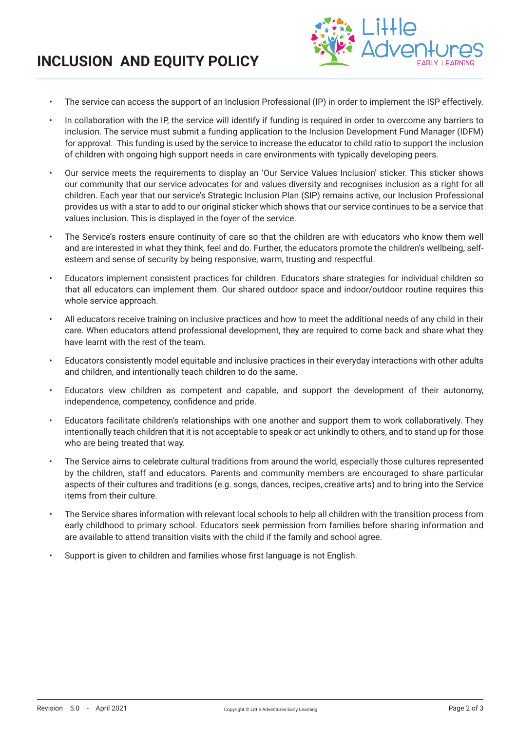## **INCLUSION AND EQUITY POLICY**



- The service can access the support of an Inclusion Professional (IP) in order to implement the ISP effectively.
- In collaboration with the IP, the service will identify if funding is required in order to overcome any barriers to inclusion. The service must submit a funding application to the Inclusion Development Fund Manager (IDFM) for approval. This funding is used by the service to increase the educator to child ratio to support the inclusion of children with ongoing high support needs in care environments with typically developing peers.
- Our service meets the requirements to display an 'Our Service Values Inclusion' sticker. This sticker shows our community that our service advocates for and values diversity and recognises inclusion as a right for all children. Each year that our service's Strategic Inclusion Plan (SIP) remains active, our Inclusion Professional provides us with a star to add to our original sticker which shows that our service continues to be a service that values inclusion. This is displayed in the foyer of the service.
- The Service's rosters ensure continuity of care so that the children are with educators who know them well and are interested in what they think, feel and do. Further, the educators promote the children's wellbeing, selfesteem and sense of security by being responsive, warm, trusting and respectful.
- Educators implement consistent practices for children. Educators share strategies for individual children so that all educators can implement them. Our shared outdoor space and indoor/outdoor routine requires this whole service approach.
- All educators receive training on inclusive practices and how to meet the additional needs of any child in their care. When educators attend professional development, they are required to come back and share what they have learnt with the rest of the team.
- Educators consistently model equitable and inclusive practices in their everyday interactions with other adults and children, and intentionally teach children to do the same.
- Educators view children as competent and capable, and support the development of their autonomy, independence, competency, confidence and pride.
- Educators facilitate children's relationships with one another and support them to work collaboratively. They intentionally teach children that it is not acceptable to speak or act unkindly to others, and to stand up for those who are being treated that way.
- The Service aims to celebrate cultural traditions from around the world, especially those cultures represented by the children, staff and educators. Parents and community members are encouraged to share particular aspects of their cultures and traditions (e.g. songs, dances, recipes, creative arts) and to bring into the Service items from their culture.
- The Service shares information with relevant local schools to help all children with the transition process from early childhood to primary school. Educators seek permission from families before sharing information and are available to attend transition visits with the child if the family and school agree.
- Support is given to children and families whose first language is not English.